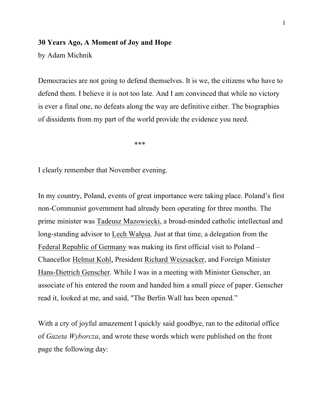#### **30 Years Ago, A Moment of Joy and Hope**

by Adam Michnik

Democracies are not going to defend themselves. It is we, the citizens who have to defend them. I believe it is not too late. And I am convinced that while no victory is ever a final one, no defeats along the way are definitive either. The biographies of dissidents from my part of the world provide the evidence you need.

 $****$ 

I clearly remember that November evening.

In my country, Poland, events of great importance were taking place. Poland's first non-Communist government had already been operating for three months. The prime minister was Tadeusz Mazowiecki, a broad-minded catholic intellectual and long-standing advisor to Lech Wałęsa. Just at that time, a delegation from the Federal Republic of Germany was making its first official visit to Poland – Chancellor Helmut Kohl, President Richard Weizsacker, and Foreign Minister Hans-Dietrich Genscher. While I was in a meeting with Minister Genscher, an associate of his entered the room and handed him a small piece of paper. Genscher read it, looked at me, and said, "The Berlin Wall has been opened."

With a cry of joyful amazement I quickly said goodbye, ran to the editorial office of *Gazeta Wyborcza*, and wrote these words which were published on the front page the following day: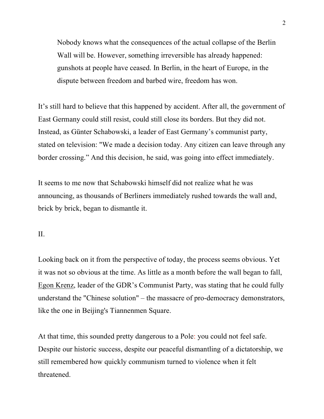Nobody knows what the consequences of the actual collapse of the Berlin Wall will be. However, something irreversible has already happened: gunshots at people have ceased. In Berlin, in the heart of Europe, in the dispute between freedom and barbed wire, freedom has won.

It's still hard to believe that this happened by accident. After all, the government of East Germany could still resist, could still close its borders. But they did not. Instead, as Günter Schabowski, a leader of East Germany's communist party, stated on television: "We made a decision today. Any citizen can leave through any border crossing." And this decision, he said, was going into effect immediately.

It seems to me now that Schabowski himself did not realize what he was announcing, as thousands of Berliners immediately rushed towards the wall and, brick by brick, began to dismantle it.

## II.

Looking back on it from the perspective of today, the process seems obvious. Yet it was not so obvious at the time. As little as a month before the wall began to fall, Egon Krenz, leader of the GDR's Communist Party, was stating that he could fully understand the "Chinese solution" – the massacre of pro-democracy demonstrators, like the one in Beijing's Tiannenmen Square.

At that time, this sounded pretty dangerous to a Pole: you could not feel safe. Despite our historic success, despite our peaceful dismantling of a dictatorship, we still remembered how quickly communism turned to violence when it felt threatened.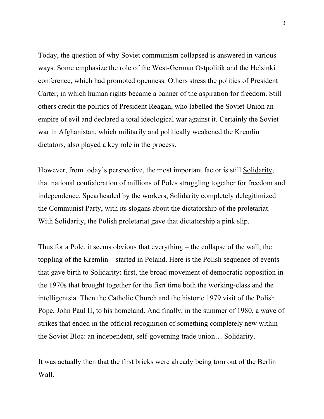Today, the question of why Soviet communism collapsed is answered in various ways. Some emphasize the role of the West-German Ostpolitik and the Helsinki conference, which had promoted openness. Others stress the politics of President Carter, in which human rights became a banner of the aspiration for freedom. Still others credit the politics of President Reagan, who labelled the Soviet Union an empire of evil and declared a total ideological war against it. Certainly the Soviet war in Afghanistan, which militarily and politically weakened the Kremlin dictators, also played a key role in the process.

However, from today's perspective, the most important factor is still Solidarity, that national confederation of millions of Poles struggling together for freedom and independence. Spearheaded by the workers, Solidarity completely delegitimized the Communist Party, with its slogans about the dictatorship of the proletariat. With Solidarity, the Polish proletariat gave that dictatorship a pink slip.

Thus for a Pole, it seems obvious that everything – the collapse of the wall, the toppling of the Kremlin – started in Poland. Here is the Polish sequence of events that gave birth to Solidarity: first, the broad movement of democratic opposition in the 1970s that brought together for the fisrt time both the working-class and the intelligentsia. Then the Catholic Church and the historic 1979 visit of the Polish Pope, John Paul II, to his homeland. And finally, in the summer of 1980, a wave of strikes that ended in the official recognition of something completely new within the Soviet Bloc: an independent, self-governing trade union… Solidarity.

It was actually then that the first bricks were already being torn out of the Berlin Wall.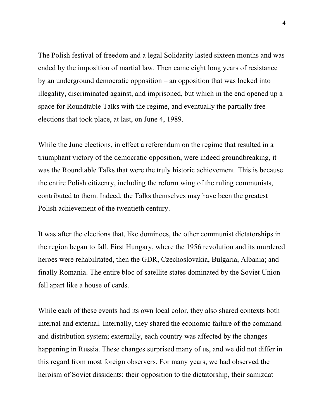The Polish festival of freedom and a legal Solidarity lasted sixteen months and was ended by the imposition of martial law. Then came eight long years of resistance by an underground democratic opposition – an opposition that was locked into illegality, discriminated against, and imprisoned, but which in the end opened up a space for Roundtable Talks with the regime, and eventually the partially free elections that took place, at last, on June 4, 1989.

While the June elections, in effect a referendum on the regime that resulted in a triumphant victory of the democratic opposition, were indeed groundbreaking, it was the Roundtable Talks that were the truly historic achievement. This is because the entire Polish citizenry, including the reform wing of the ruling communists, contributed to them. Indeed, the Talks themselves may have been the greatest Polish achievement of the twentieth century.

It was after the elections that, like dominoes, the other communist dictatorships in the region began to fall. First Hungary, where the 1956 revolution and its murdered heroes were rehabilitated, then the GDR, Czechoslovakia, Bulgaria, Albania; and finally Romania. The entire bloc of satellite states dominated by the Soviet Union fell apart like a house of cards.

While each of these events had its own local color, they also shared contexts both internal and external. Internally, they shared the economic failure of the command and distribution system; externally, each country was affected by the changes happening in Russia. These changes surprised many of us, and we did not differ in this regard from most foreign observers. For many years, we had observed the heroism of Soviet dissidents: their opposition to the dictatorship, their samizdat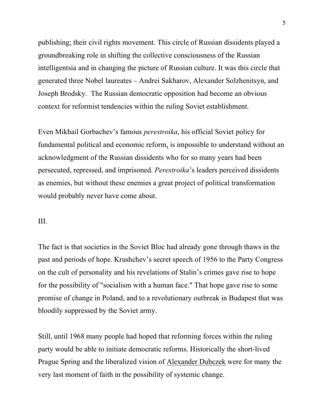publishing; their civil rights movement. This circle of Russian dissidents played a groundbreaking role in shifting the collective consciousness of the Russian intelligentsia and in changing the picture of Russian culture. It was this circle that generated three Nobel laureates – Andrei Sakharov, Alexander Solzhenitsyn, and Joseph Brodsky. The Russian democratic opposition had become an obvious context for reformist tendencies within the ruling Soviet establishment.

Even Mikhail Gorbachev's famous *perestroika*, his official Soviet policy for fundamental political and economic reform, is impossible to understand without an acknowledgment of the Russian dissidents who for so many years had been persecuted, repressed, and imprisoned. *Perestroika*'s leaders perceived dissidents as enemies, but without these enemies a great project of political transformation would probably never have come about.

# III.

The fact is that societies in the Soviet Bloc had already gone through thaws in the past and periods of hope. Krushchev's secret speech of 1956 to the Party Congress on the cult of personality and his revelations of Stalin's crimes gave rise to hope for the possibility of "socialism with a human face." That hope gave rise to some promise of change in Poland, and to a revolutionary outbreak in Budapest that was bloodily suppressed by the Soviet army.

Still, until 1968 many people had hoped that reforming forces within the ruling party would be able to initiate democratic reforms. Historically the short-lived Prague Spring and the liberalized vision of Alexander Dubczek were for many the very last moment of faith in the possibility of systemic change.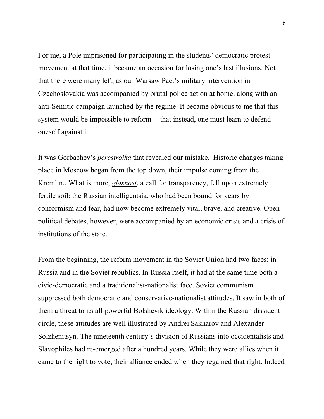For me, a Pole imprisoned for participating in the students' democratic protest movement at that time, it became an occasion for losing one's last illusions. Not that there were many left, as our Warsaw Pact's military intervention in Czechoslovakia was accompanied by brutal police action at home, along with an anti-Semitic campaign launched by the regime. It became obvious to me that this system would be impossible to reform -- that instead, one must learn to defend oneself against it.

It was Gorbachev's *perestroika* that revealed our mistake. Historic changes taking place in Moscow began from the top down, their impulse coming from the Kremlin.. What is more, *glasnost*, a call for transparency, fell upon extremely fertile soil: the Russian intelligentsia, who had been bound for years by conformism and fear, had now become extremely vital, brave, and creative. Open political debates, however, were accompanied by an economic crisis and a crisis of institutions of the state.

From the beginning, the reform movement in the Soviet Union had two faces: in Russia and in the Soviet republics. In Russia itself, it had at the same time both a civic-democratic and a traditionalist-nationalist face. Soviet communism suppressed both democratic and conservative-nationalist attitudes. It saw in both of them a threat to its all-powerful Bolshevik ideology. Within the Russian dissident circle, these attitudes are well illustrated by Andrei Sakharov and Alexander Solzhenitsyn. The nineteenth century's division of Russians into occidentalists and Slavophiles had re-emerged after a hundred years. While they were allies when it came to the right to vote, their alliance ended when they regained that right. Indeed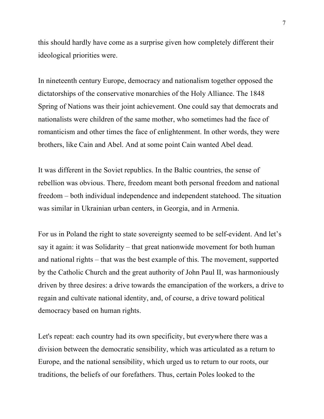this should hardly have come as a surprise given how completely different their ideological priorities were.

In nineteenth century Europe, democracy and nationalism together opposed the dictatorships of the conservative monarchies of the Holy Alliance. The 1848 Spring of Nations was their joint achievement. One could say that democrats and nationalists were children of the same mother, who sometimes had the face of romanticism and other times the face of enlightenment. In other words, they were brothers, like Cain and Abel. And at some point Cain wanted Abel dead.

It was different in the Soviet republics. In the Baltic countries, the sense of rebellion was obvious. There, freedom meant both personal freedom and national freedom – both individual independence and independent statehood. The situation was similar in Ukrainian urban centers, in Georgia, and in Armenia.

For us in Poland the right to state sovereignty seemed to be self-evident. And let's say it again: it was Solidarity – that great nationwide movement for both human and national rights – that was the best example of this. The movement, supported by the Catholic Church and the great authority of John Paul II, was harmoniously driven by three desires: a drive towards the emancipation of the workers, a drive to regain and cultivate national identity, and, of course, a drive toward political democracy based on human rights.

Let's repeat: each country had its own specificity, but everywhere there was a division between the democratic sensibility, which was articulated as a return to Europe, and the national sensibility, which urged us to return to our roots, our traditions, the beliefs of our forefathers. Thus, certain Poles looked to the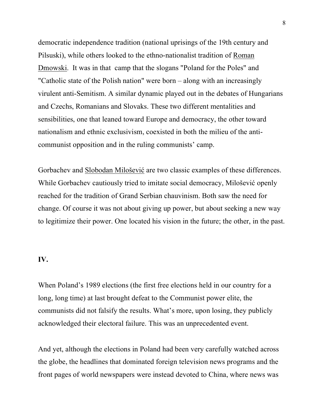democratic independence tradition (national uprisings of the 19th century and Pilsuski), while others looked to the ethno-nationalist tradition of Roman Dmowski. It was in that camp that the slogans "Poland for the Poles" and "Catholic state of the Polish nation" were born – along with an increasingly virulent anti-Semitism. A similar dynamic played out in the debates of Hungarians and Czechs, Romanians and Slovaks. These two different mentalities and sensibilities, one that leaned toward Europe and democracy, the other toward nationalism and ethnic exclusivism, coexisted in both the milieu of the anticommunist opposition and in the ruling communists' camp.

Gorbachev and Slobodan Milošević are two classic examples of these differences. While Gorbachev cautiously tried to imitate social democracy, Milošević openly reached for the tradition of Grand Serbian chauvinism. Both saw the need for change. Of course it was not about giving up power, but about seeking a new way to legitimize their power. One located his vision in the future; the other, in the past.

## **IV.**

When Poland's 1989 elections (the first free elections held in our country for a long, long time) at last brought defeat to the Communist power elite, the communists did not falsify the results. What's more, upon losing, they publicly acknowledged their electoral failure. This was an unprecedented event.

And yet, although the elections in Poland had been very carefully watched across the globe, the headlines that dominated foreign television news programs and the front pages of world newspapers were instead devoted to China, where news was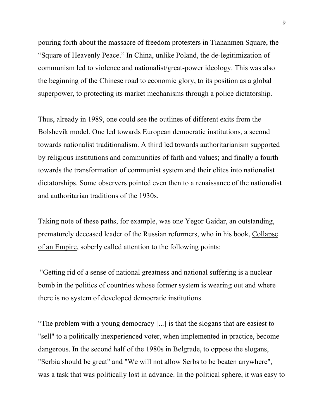pouring forth about the massacre of freedom protesters in Tiananmen Square, the "Square of Heavenly Peace." In China, unlike Poland, the de-legitimization of communism led to violence and nationalist/great-power ideology. This was also the beginning of the Chinese road to economic glory, to its position as a global superpower, to protecting its market mechanisms through a police dictatorship.

Thus, already in 1989, one could see the outlines of different exits from the Bolshevik model. One led towards European democratic institutions, a second towards nationalist traditionalism. A third led towards authoritarianism supported by religious institutions and communities of faith and values; and finally a fourth towards the transformation of communist system and their elites into nationalist dictatorships. Some observers pointed even then to a renaissance of the nationalist and authoritarian traditions of the 1930s.

Taking note of these paths, for example, was one Yegor Gaidar, an outstanding, prematurely deceased leader of the Russian reformers, who in his book, Collapse of an Empire, soberly called attention to the following points:

"Getting rid of a sense of national greatness and national suffering is a nuclear bomb in the politics of countries whose former system is wearing out and where there is no system of developed democratic institutions.

"The problem with a young democracy [...] is that the slogans that are easiest to "sell" to a politically inexperienced voter, when implemented in practice, become dangerous. In the second half of the 1980s in Belgrade, to oppose the slogans, "Serbia should be great" and "We will not allow Serbs to be beaten anywhere", was a task that was politically lost in advance. In the political sphere, it was easy to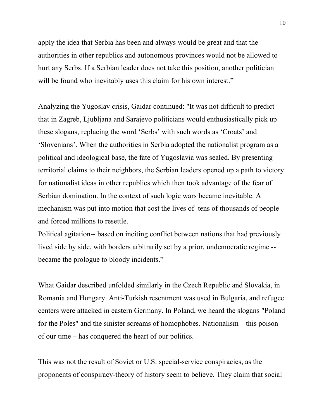apply the idea that Serbia has been and always would be great and that the authorities in other republics and autonomous provinces would not be allowed to hurt any Serbs. If a Serbian leader does not take this position, another politician will be found who inevitably uses this claim for his own interest."

Analyzing the Yugoslav crisis, Gaidar continued: "It was not difficult to predict that in Zagreb, Ljubljana and Sarajevo politicians would enthusiastically pick up these slogans, replacing the word 'Serbs' with such words as 'Croats' and 'Slovenians'. When the authorities in Serbia adopted the nationalist program as a political and ideological base, the fate of Yugoslavia was sealed. By presenting territorial claims to their neighbors, the Serbian leaders opened up a path to victory for nationalist ideas in other republics which then took advantage of the fear of Serbian domination. In the context of such logic wars became inevitable. A mechanism was put into motion that cost the lives of tens of thousands of people and forced millions to resettle.

Political agitation-- based on inciting conflict between nations that had previously lived side by side, with borders arbitrarily set by a prior, undemocratic regime - became the prologue to bloody incidents."

What Gaidar described unfolded similarly in the Czech Republic and Slovakia, in Romania and Hungary. Anti-Turkish resentment was used in Bulgaria, and refugee centers were attacked in eastern Germany. In Poland, we heard the slogans "Poland for the Poles" and the sinister screams of homophobes. Nationalism – this poison of our time – has conquered the heart of our politics.

This was not the result of Soviet or U.S. special-service conspiracies, as the proponents of conspiracy-theory of history seem to believe. They claim that social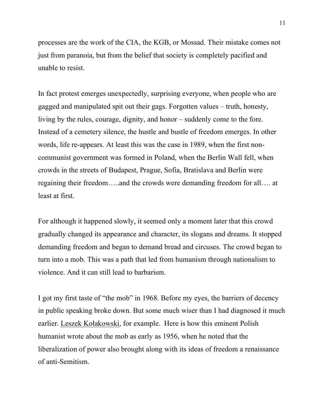processes are the work of the CIA, the KGB, or Mossad. Their mistake comes not just from paranoia, but from the belief that society is completely pacified and unable to resist.

In fact protest emerges unexpectedly, surprising everyone, when people who are gagged and manipulated spit out their gags. Forgotten values – truth, honesty, living by the rules, courage, dignity, and honor – suddenly come to the fore. Instead of a cemetery silence, the hustle and bustle of freedom emerges. In other words, life re-appears. At least this was the case in 1989, when the first noncommunist government was formed in Poland, when the Berlin Wall fell, when crowds in the streets of Budapest, Prague, Sofia, Bratislava and Berlin were regaining their freedom…..and the crowds were demanding freedom for all…. at least at first.

For although it happened slowly, it seemed only a moment later that this crowd gradually changed its appearance and character, its slogans and dreams. It stopped demanding freedom and began to demand bread and circuses. The crowd began to turn into a mob. This was a path that led from humanism through nationalism to violence. And it can still lead to barbarism.

I got my first taste of "the mob" in 1968. Before my eyes, the barriers of decency in public speaking broke down. But some much wiser than I had diagnosed it much earlier. Leszek Kołakowski, for example. Here is how this eminent Polish humanist wrote about the mob as early as 1956, when he noted that the liberalization of power also brought along with its ideas of freedom a renaissance of anti-Semitism.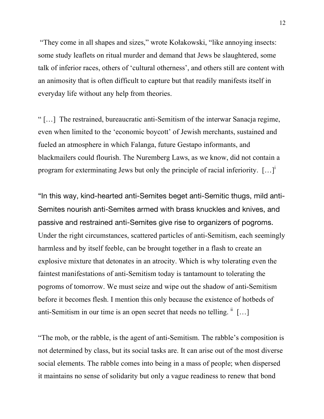"They come in all shapes and sizes," wrote Kołakowski, "like annoying insects: some study leaflets on ritual murder and demand that Jews be slaughtered, some talk of inferior races, others of 'cultural otherness', and others still are content with an animosity that is often difficult to capture but that readily manifests itself in everyday life without any help from theories.

" […] The restrained, bureaucratic anti-Semitism of the interwar Sanacja regime, even when limited to the 'economic boycott' of Jewish merchants, sustained and fueled an atmosphere in which Falanga, future Gestapo informants, and blackmailers could flourish. The Nuremberg Laws, as we know, did not contain a program for exterminating Jews but only the principle of racial inferiority.  $[\dots]$ <sup>i</sup>

"In this way, kind-hearted anti-Semites beget anti-Semitic thugs, mild anti-Semites nourish anti-Semites armed with brass knuckles and knives, and passive and restrained anti-Semites give rise to organizers of pogroms. Under the right circumstances, scattered particles of anti-Semitism, each seemingly harmless and by itself feeble, can be brought together in a flash to create an explosive mixture that detonates in an atrocity. Which is why tolerating even the faintest manifestations of anti-Semitism today is tantamount to tolerating the pogroms of tomorrow. We must seize and wipe out the shadow of anti-Semitism before it becomes flesh. I mention this only because the existence of hotbeds of anti-Semitism in our time is an open secret that needs no telling.  $\mathbf{u}$  [...]

"The mob, or the rabble, is the agent of anti-Semitism. The rabble's composition is not determined by class, but its social tasks are. It can arise out of the most diverse social elements. The rabble comes into being in a mass of people; when dispersed it maintains no sense of solidarity but only a vague readiness to renew that bond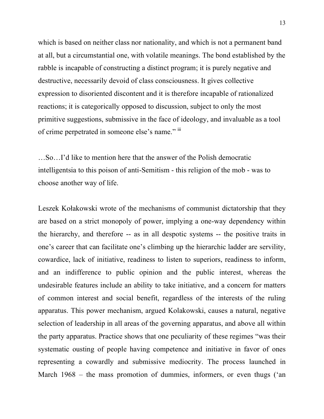which is based on neither class nor nationality, and which is not a permanent band at all, but a circumstantial one, with volatile meanings. The bond established by the rabble is incapable of constructing a distinct program; it is purely negative and destructive, necessarily devoid of class consciousness. It gives collective expression to disoriented discontent and it is therefore incapable of rationalized reactions; it is categorically opposed to discussion, subject to only the most primitive suggestions, submissive in the face of ideology, and invaluable as a tool of crime perpetrated in someone else's name." iii

…So…I'd like to mention here that the answer of the Polish democratic intelligentsia to this poison of anti-Semitism - this religion of the mob - was to choose another way of life.

Leszek Kołakowski wrote of the mechanisms of communist dictatorship that they are based on a strict monopoly of power, implying a one-way dependency within the hierarchy, and therefore -- as in all despotic systems -- the positive traits in one's career that can facilitate one's climbing up the hierarchic ladder are servility, cowardice, lack of initiative, readiness to listen to superiors, readiness to inform, and an indifference to public opinion and the public interest, whereas the undesirable features include an ability to take initiative, and a concern for matters of common interest and social benefit, regardless of the interests of the ruling apparatus. This power mechanism, argued Kolakowski, causes a natural, negative selection of leadership in all areas of the governing apparatus, and above all within the party apparatus. Practice shows that one peculiarity of these regimes "was their systematic ousting of people having competence and initiative in favor of ones representing a cowardly and submissive mediocrity. The process launched in March 1968 – the mass promotion of dummies, informers, or even thugs ('an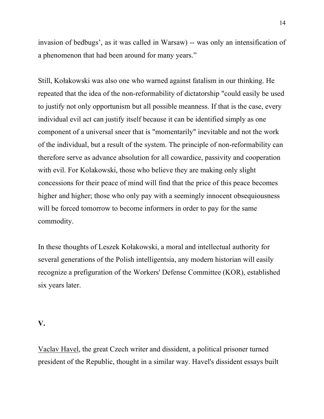invasion of bedbugs', as it was called in Warsaw) -- was only an intensification of a phenomenon that had been around for many years."

Still, Kołakowski was also one who warned against fatalism in our thinking. He repeated that the idea of the non-reformability of dictatorship "could easily be used to justify not only opportunism but all possible meanness. If that is the case, every individual evil act can justify itself because it can be identified simply as one component of a universal sneer that is "momentarily" inevitable and not the work of the individual, but a result of the system. The principle of non-reformability can therefore serve as advance absolution for all cowardice, passivity and cooperation with evil. For Kolakowski, those who believe they are making only slight concessions for their peace of mind will find that the price of this peace becomes higher and higher; those who only pay with a seemingly innocent obsequiousness will be forced tomorrow to become informers in order to pay for the same commodity.

In these thoughts of Leszek Kołakowski, a moral and intellectual authority for several generations of the Polish intelligentsia, any modern historian will easily recognize a prefiguration of the Workers' Defense Committee (KOR), established six years later.

#### **V.**

Vaclav Havel, the great Czech writer and dissident, a political prisoner turned president of the Republic, thought in a similar way. Havel's dissident essays built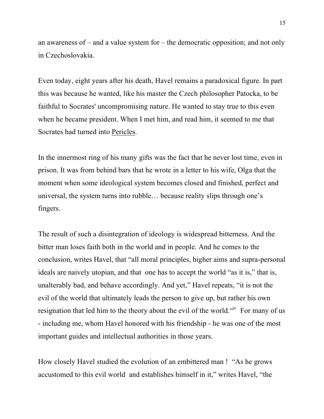an awareness of – and a value system for – the democratic opposition; and not only in Czechoslovakia.

Even today, eight years after his death, Havel remains a paradoxical figure. In part this was because he wanted, like his master the Czech philosopher Patocka, to be faithful to Socrates' uncompromising nature. He wanted to stay true to this even when he became president. When I met him, and read him, it seemed to me that Socrates had turned into Pericles.

In the innermost ring of his many gifts was the fact that he never lost time, even in prison. It was from behind bars that he wrote in a letter to his wife, Olga that the moment when some ideological system becomes closed and finished, perfect and universal, the system turns into rubble… because reality slips through one's fingers.

The result of such a disintegration of ideology is widespread bitterness. And the bitter man loses faith both in the world and in people. And he comes to the conclusion, writes Havel, that "all moral principles, higher aims and supra-personal ideals are naively utopian, and that one has to accept the world "as it is," that is, unalterably bad, and behave accordingly. And yet," Havel repeats, "it is not the evil of the world that ultimately leads the person to give up, but rather his own resignation that led him to the theory about the evil of the world. "<sup>iv</sup> For many of us - including me, whom Havel honored with his friendship - he was one of the most important guides and intellectual authorities in those years.

How closely Havel studied the evolution of an embittered man ! "As he grows accustomed to this evil world and establishes himself in it," writes Havel, "the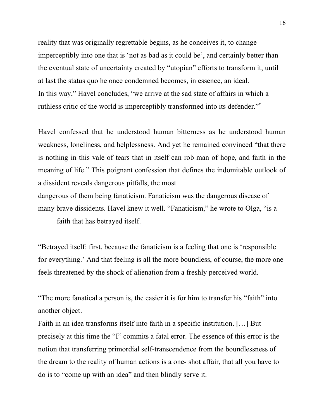reality that was originally regrettable begins, as he conceives it, to change imperceptibly into one that is 'not as bad as it could be', and certainly better than the eventual state of uncertainty created by "utopian" efforts to transform it, until at last the status quo he once condemned becomes, in essence, an ideal. In this way," Havel concludes, "we arrive at the sad state of affairs in which a ruthless critic of the world is imperceptibly transformed into its defender."

Havel confessed that he understood human bitterness as he understood human weakness, loneliness, and helplessness. And yet he remained convinced "that there is nothing in this vale of tears that in itself can rob man of hope, and faith in the meaning of life." This poignant confession that defines the indomitable outlook of a dissident reveals dangerous pitfalls, the most

dangerous of them being fanaticism. Fanaticism was the dangerous disease of many brave dissidents. Havel knew it well. "Fanaticism," he wrote to Olga, "is a faith that has betrayed itself.

"Betrayed itself: first, because the fanaticism is a feeling that one is 'responsible for everything.' And that feeling is all the more boundless, of course, the more one feels threatened by the shock of alienation from a freshly perceived world.

"The more fanatical a person is, the easier it is for him to transfer his "faith" into another object.

Faith in an idea transforms itself into faith in a specific institution. […] But precisely at this time the "I" commits a fatal error. The essence of this error is the notion that transferring primordial self-transcendence from the boundlessness of the dream to the reality of human actions is a one- shot affair, that all you have to do is to "come up with an idea" and then blindly serve it.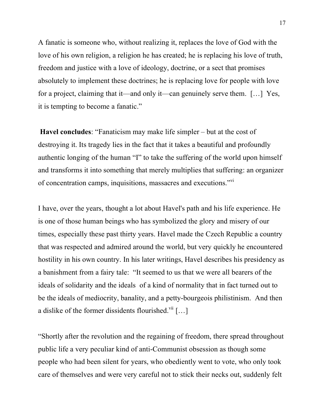A fanatic is someone who, without realizing it, replaces the love of God with the love of his own religion, a religion he has created; he is replacing his love of truth, freedom and justice with a love of ideology, doctrine, or a sect that promises absolutely to implement these doctrines; he is replacing love for people with love for a project, claiming that it—and only it—can genuinely serve them. […] Yes, it is tempting to become a fanatic."

**Havel concludes**: "Fanaticism may make life simpler – but at the cost of destroying it. Its tragedy lies in the fact that it takes a beautiful and profoundly authentic longing of the human "I" to take the suffering of the world upon himself and transforms it into something that merely multiplies that suffering: an organizer of concentration camps, inquisitions, massacres and executions."<sup>vi</sup>

I have, over the years, thought a lot about Havel's path and his life experience. He is one of those human beings who has symbolized the glory and misery of our times, especially these past thirty years. Havel made the Czech Republic a country that was respected and admired around the world, but very quickly he encountered hostility in his own country. In his later writings, Havel describes his presidency as a banishment from a fairy tale: "It seemed to us that we were all bearers of the ideals of solidarity and the ideals of a kind of normality that in fact turned out to be the ideals of mediocrity, banality, and a petty-bourgeois philistinism. And then a dislike of the former dissidents flourished. $\mathrm{vii}$  [...]

"Shortly after the revolution and the regaining of freedom, there spread throughout public life a very peculiar kind of anti-Communist obsession as though some people who had been silent for years, who obediently went to vote, who only took care of themselves and were very careful not to stick their necks out, suddenly felt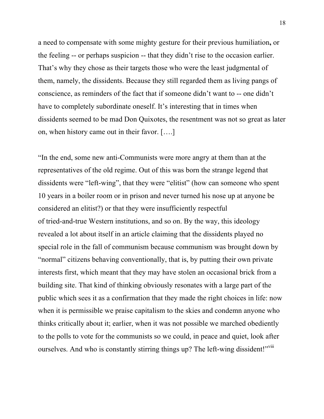a need to compensate with some mighty gesture for their previous humiliation**,** or the feeling -- or perhaps suspicion -- that they didn't rise to the occasion earlier. That's why they chose as their targets those who were the least judgmental of them, namely, the dissidents. Because they still regarded them as living pangs of conscience, as reminders of the fact that if someone didn't want to -- one didn't have to completely subordinate oneself. It's interesting that in times when dissidents seemed to be mad Don Quixotes, the resentment was not so great as later on, when history came out in their favor. [….]

"In the end, some new anti-Communists were more angry at them than at the representatives of the old regime. Out of this was born the strange legend that dissidents were "left-wing", that they were "elitist" (how can someone who spent 10 years in a boiler room or in prison and never turned his nose up at anyone be considered an elitist?) or that they were insufficiently respectful of tried-and-true Western institutions, and so on. By the way, this ideology revealed a lot about itself in an article claiming that the dissidents played no special role in the fall of communism because communism was brought down by "normal" citizens behaving conventionally, that is, by putting their own private interests first, which meant that they may have stolen an occasional brick from a building site. That kind of thinking obviously resonates with a large part of the public which sees it as a confirmation that they made the right choices in life: now when it is permissible we praise capitalism to the skies and condemn anyone who thinks critically about it; earlier, when it was not possible we marched obediently to the polls to vote for the communists so we could, in peace and quiet, look after ourselves. And who is constantly stirring things up? The left-wing dissident!"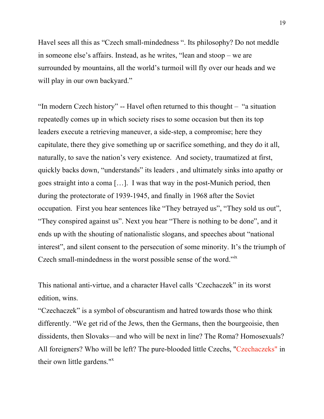Havel sees all this as "Czech small-mindedness ". Its philosophy? Do not meddle in someone else's affairs. Instead, as he writes, "lean and stoop – we are surrounded by mountains, all the world's turmoil will fly over our heads and we will play in our own backyard."

"In modern Czech history" -- Havel often returned to this thought – "a situation repeatedly comes up in which society rises to some occasion but then its top leaders execute a retrieving maneuver, a side-step, a compromise; here they capitulate, there they give something up or sacrifice something, and they do it all, naturally, to save the nation's very existence. And society, traumatized at first, quickly backs down, "understands" its leaders , and ultimately sinks into apathy or goes straight into a coma […]. I was that way in the post-Munich period, then during the protectorate of 1939-1945, and finally in 1968 after the Soviet occupation. First you hear sentences like "They betrayed us", "They sold us out", "They conspired against us". Next you hear "There is nothing to be done", and it ends up with the shouting of nationalistic slogans, and speeches about "national interest", and silent consent to the persecution of some minority. It's the triumph of Czech small-mindedness in the worst possible sense of the word."<sup>ix</sup>

This national anti-virtue, and a character Havel calls 'Czechaczek" in its worst edition, wins.

"Czechaczek" is a symbol of obscurantism and hatred towards those who think differently. "We get rid of the Jews, then the Germans, then the bourgeoisie, then dissidents, then Slovaks—and who will be next in line? The Roma? Homosexuals? All foreigners? Who will be left? The pure-blooded little Czechs, "Czechaczeks" in their own little gardens."<sup>x</sup>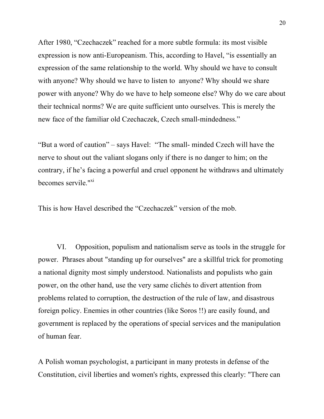After 1980, "Czechaczek" reached for a more subtle formula: its most visible expression is now anti-Europeanism. This, according to Havel, "is essentially an expression of the same relationship to the world. Why should we have to consult with anyone? Why should we have to listen to anyone? Why should we share power with anyone? Why do we have to help someone else? Why do we care about their technical norms? We are quite sufficient unto ourselves. This is merely the new face of the familiar old Czechaczek, Czech small-mindedness."

"But a word of caution" – says Havel: "The small- minded Czech will have the nerve to shout out the valiant slogans only if there is no danger to him; on the contrary, if he's facing a powerful and cruel opponent he withdraws and ultimately becomes servile."<sup>xi</sup>

This is how Havel described the "Czechaczek" version of the mob.

VI. Opposition, populism and nationalism serve as tools in the struggle for power. Phrases about "standing up for ourselves" are a skillful trick for promoting a national dignity most simply understood. Nationalists and populists who gain power, on the other hand, use the very same clichés to divert attention from problems related to corruption, the destruction of the rule of law, and disastrous foreign policy. Enemies in other countries (like Soros !!) are easily found, and government is replaced by the operations of special services and the manipulation of human fear.

A Polish woman psychologist, a participant in many protests in defense of the Constitution, civil liberties and women's rights, expressed this clearly: "There can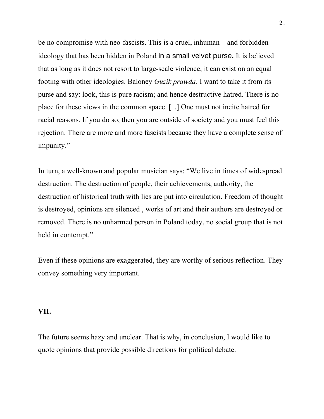be no compromise with neo-fascists. This is a cruel, inhuman – and forbidden – ideology that has been hidden in Poland in a small velvet purse**.** It is believed that as long as it does not resort to large-scale violence, it can exist on an equal footing with other ideologies. Baloney *Guzik prawda*. I want to take it from its purse and say: look, this is pure racism; and hence destructive hatred. There is no place for these views in the common space. [...] One must not incite hatred for racial reasons. If you do so, then you are outside of society and you must feel this rejection. There are more and more fascists because they have a complete sense of impunity."

In turn, a well-known and popular musician says: "We live in times of widespread destruction. The destruction of people, their achievements, authority, the destruction of historical truth with lies are put into circulation. Freedom of thought is destroyed, opinions are silenced , works of art and their authors are destroyed or removed. There is no unharmed person in Poland today, no social group that is not held in contempt."

Even if these opinions are exaggerated, they are worthy of serious reflection. They convey something very important.

#### **VII.**

The future seems hazy and unclear. That is why, in conclusion, I would like to quote opinions that provide possible directions for political debate.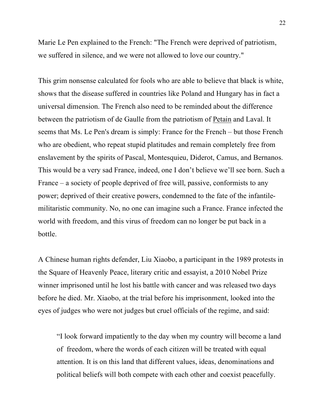Marie Le Pen explained to the French: "The French were deprived of patriotism, we suffered in silence, and we were not allowed to love our country."

This grim nonsense calculated for fools who are able to believe that black is white, shows that the disease suffered in countries like Poland and Hungary has in fact a universal dimension. The French also need to be reminded about the difference between the patriotism of de Gaulle from the patriotism of Petain and Laval. It seems that Ms. Le Pen's dream is simply: France for the French – but those French who are obedient, who repeat stupid platitudes and remain completely free from enslavement by the spirits of Pascal, Montesquieu, Diderot, Camus, and Bernanos. This would be a very sad France, indeed, one I don't believe we'll see born. Such a France – a society of people deprived of free will, passive, conformists to any power; deprived of their creative powers, condemned to the fate of the infantilemilitaristic community. No, no one can imagine such a France. France infected the world with freedom, and this virus of freedom can no longer be put back in a bottle.

A Chinese human rights defender, Liu Xiaobo, a participant in the 1989 protests in the Square of Heavenly Peace, literary critic and essayist, a 2010 Nobel Prize winner imprisoned until he lost his battle with cancer and was released two days before he died. Mr. Xiaobo, at the trial before his imprisonment, looked into the eyes of judges who were not judges but cruel officials of the regime, and said:

"I look forward impatiently to the day when my country will become a land of freedom, where the words of each citizen will be treated with equal attention. It is on this land that different values, ideas, denominations and political beliefs will both compete with each other and coexist peacefully.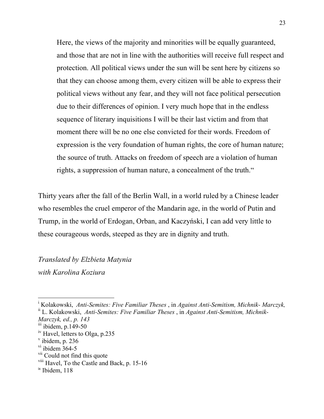Here, the views of the majority and minorities will be equally guaranteed, and those that are not in line with the authorities will receive full respect and protection. All political views under the sun will be sent here by citizens so that they can choose among them, every citizen will be able to express their political views without any fear, and they will not face political persecution due to their differences of opinion. I very much hope that in the endless sequence of literary inquisitions I will be their last victim and from that moment there will be no one else convicted for their words. Freedom of expression is the very foundation of human rights, the core of human nature; the source of truth. Attacks on freedom of speech are a violation of human rights, a suppression of human nature, a concealment of the truth."

Thirty years after the fall of the Berlin Wall, in a world ruled by a Chinese leader who resembles the cruel emperor of the Mandarin age, in the world of Putin and Trump, in the world of Erdogan, Orban, and Kaczyński, I can add very little to these courageous words, steeped as they are in dignity and truth.

# *Translated by Elzbieta Matynia with Karolina Koziura*

<sup>|&</sup>lt;br>i Kolakowski, *Anti-Semites: Five Familiar Theses* , in *Against Anti-Semitism, Michnik- Marczyk,*

ii L. Kolakowski, *Anti-Semites: Five Familiar Theses* , in *Against Anti-Semitism, Michnik-*

*Marczyk, ed., p. 143*

 $\frac{\text{iii}}{\text{ii}}$  ibidem, p.149-50

<sup>&</sup>lt;sup>iv</sup> Havel, letters to Olga, p.235<br><sup>v</sup> ibidem, p. 236

 $\mathrm{v}$ <sup>v</sup>i ibidem 364-5

<sup>&</sup>lt;sup>vii</sup> Could not find this quote

viii Havel, To the Castle and Back, p. 15-16

ix Ibidem, 118